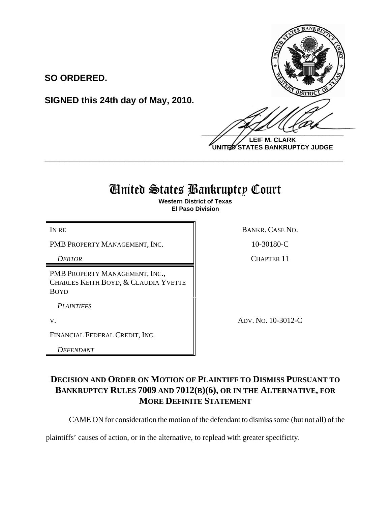

**LEIF M. CLARK UNITED STATES BANKRUPTCY JUDGE**

# United States Bankruptcy Court

**\_\_\_\_\_\_\_\_\_\_\_\_\_\_\_\_\_\_\_\_\_\_\_\_\_\_\_\_\_\_\_\_\_\_\_\_\_\_\_\_\_\_\_\_\_\_\_\_\_\_\_\_\_\_\_\_\_\_\_\_**

**Western District of Texas El Paso Division**

PMB PROPERTY MANAGEMENT, INC. 10-30180-C

PMB PROPERTY MANAGEMENT, INC., CHARLES KEITH BOYD, & CLAUDIA YVETTE BOYD

**SIGNED this 24th day of May, 2010.**

*PLAINTIFFS*

FINANCIAL FEDERAL CREDIT, INC.

*DEFENDANT* 

IN RE BANKR. CASE NO.

*DEBTOR* CHAPTER 11

V. ADV. NO. 10-3012-C

### **DECISION AND ORDER ON MOTION OF PLAINTIFF TO DISMISS PURSUANT TO BANKRUPTCY RULES 7009 AND 7012(B)(6), OR IN THE ALTERNATIVE, FOR MORE DEFINITE STATEMENT**

CAME ON for consideration the motion of the defendant to dismiss some (but not all) of the

plaintiffs' causes of action, or in the alternative, to replead with greater specificity.

## **SO ORDERED.**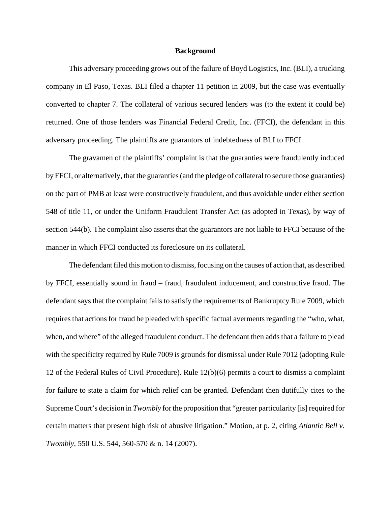#### **Background**

This adversary proceeding grows out of the failure of Boyd Logistics, Inc. (BLI), a trucking company in El Paso, Texas. BLI filed a chapter 11 petition in 2009, but the case was eventually converted to chapter 7. The collateral of various secured lenders was (to the extent it could be) returned. One of those lenders was Financial Federal Credit, Inc. (FFCI), the defendant in this adversary proceeding. The plaintiffs are guarantors of indebtedness of BLI to FFCI.

The gravamen of the plaintiffs' complaint is that the guaranties were fraudulently induced by FFCI, or alternatively, that the guaranties (and the pledge of collateral to secure those guaranties) on the part of PMB at least were constructively fraudulent, and thus avoidable under either section 548 of title 11, or under the Uniform Fraudulent Transfer Act (as adopted in Texas), by way of section 544(b). The complaint also asserts that the guarantors are not liable to FFCI because of the manner in which FFCI conducted its foreclosure on its collateral.

The defendant filed this motion to dismiss, focusing on the causes of action that, as described by FFCI, essentially sound in fraud – fraud, fraudulent inducement, and constructive fraud. The defendant says that the complaint fails to satisfy the requirements of Bankruptcy Rule 7009, which requires that actions for fraud be pleaded with specific factual averments regarding the "who, what, when, and where" of the alleged fraudulent conduct. The defendant then adds that a failure to plead with the specificity required by Rule 7009 is grounds for dismissal under Rule 7012 (adopting Rule 12 of the Federal Rules of Civil Procedure). Rule 12(b)(6) permits a court to dismiss a complaint for failure to state a claim for which relief can be granted. Defendant then dutifully cites to the Supreme Court's decision in *Twombly* for the proposition that "greater particularity [is] required for certain matters that present high risk of abusive litigation." Motion, at p. 2, citing *Atlantic Bell v. Twombly*, 550 U.S. 544, 560-570 & n. 14 (2007).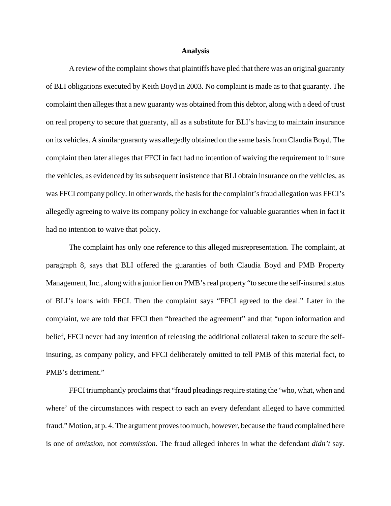### **Analysis**

A review of the complaint shows that plaintiffs have pled that there was an original guaranty of BLI obligations executed by Keith Boyd in 2003. No complaint is made as to that guaranty. The complaint then alleges that a new guaranty was obtained from this debtor, along with a deed of trust on real property to secure that guaranty, all as a substitute for BLI's having to maintain insurance on its vehicles. A similar guaranty was allegedly obtained on the same basis from Claudia Boyd. The complaint then later alleges that FFCI in fact had no intention of waiving the requirement to insure the vehicles, as evidenced by its subsequent insistence that BLI obtain insurance on the vehicles, as was FFCI company policy. In other words, the basis for the complaint's fraud allegation was FFCI's allegedly agreeing to waive its company policy in exchange for valuable guaranties when in fact it had no intention to waive that policy.

The complaint has only one reference to this alleged misrepresentation. The complaint, at paragraph 8, says that BLI offered the guaranties of both Claudia Boyd and PMB Property Management, Inc., along with a junior lien on PMB's real property "to secure the self-insured status of BLI's loans with FFCI. Then the complaint says "FFCI agreed to the deal." Later in the complaint, we are told that FFCI then "breached the agreement" and that "upon information and belief, FFCI never had any intention of releasing the additional collateral taken to secure the selfinsuring, as company policy, and FFCI deliberately omitted to tell PMB of this material fact, to PMB's detriment."

FFCI triumphantly proclaims that "fraud pleadings require stating the 'who, what, when and where' of the circumstances with respect to each an every defendant alleged to have committed fraud." Motion, at p. 4. The argument proves too much, however, because the fraud complained here is one of *omission*, not *commission*. The fraud alleged inheres in what the defendant *didn't* say.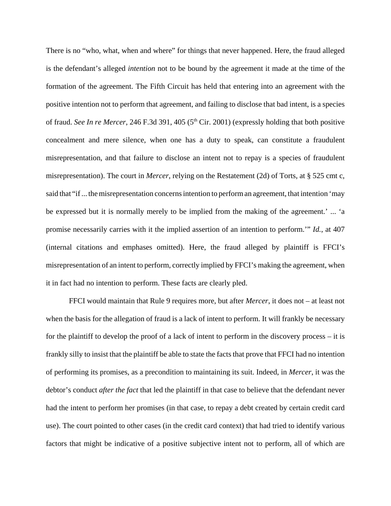There is no "who, what, when and where" for things that never happened. Here, the fraud alleged is the defendant's alleged *intention* not to be bound by the agreement it made at the time of the formation of the agreement. The Fifth Circuit has held that entering into an agreement with the positive intention not to perform that agreement, and failing to disclose that bad intent, is a species of fraud. *See In re Mercer*, 246 F.3d 391, 405 (5<sup>th</sup> Cir. 2001) (expressly holding that both positive concealment and mere silence, when one has a duty to speak, can constitute a fraudulent misrepresentation, and that failure to disclose an intent not to repay is a species of fraudulent misrepresentation). The court in *Mercer*, relying on the Restatement (2d) of Torts, at § 525 cmt c, said that "if ... the misrepresentation concerns intention to perform an agreement, that intention 'may be expressed but it is normally merely to be implied from the making of the agreement.' ... 'a promise necessarily carries with it the implied assertion of an intention to perform.'" *Id.*, at 407 (internal citations and emphases omitted). Here, the fraud alleged by plaintiff is FFCI's misrepresentation of an intent to perform, correctly implied by FFCI's making the agreement, when it in fact had no intention to perform. These facts are clearly pled.

FFCI would maintain that Rule 9 requires more, but after *Mercer*, it does not – at least not when the basis for the allegation of fraud is a lack of intent to perform. It will frankly be necessary for the plaintiff to develop the proof of a lack of intent to perform in the discovery process – it is frankly silly to insist that the plaintiff be able to state the facts that prove that FFCI had no intention of performing its promises, as a precondition to maintaining its suit. Indeed, in *Mercer*, it was the debtor's conduct *after the fact* that led the plaintiff in that case to believe that the defendant never had the intent to perform her promises (in that case, to repay a debt created by certain credit card use). The court pointed to other cases (in the credit card context) that had tried to identify various factors that might be indicative of a positive subjective intent not to perform, all of which are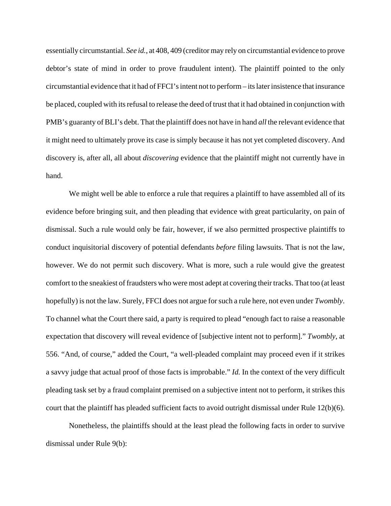essentially circumstantial. *See id.*, at 408, 409 (creditor may rely on circumstantial evidence to prove debtor's state of mind in order to prove fraudulent intent). The plaintiff pointed to the only circumstantial evidence that it had of FFCI's intent not to perform – its later insistence that insurance be placed, coupled with its refusal to release the deed of trust that it had obtained in conjunction with PMB's guaranty of BLI's debt. That the plaintiff does not have in hand *all* the relevant evidence that it might need to ultimately prove its case is simply because it has not yet completed discovery. And discovery is, after all, all about *discovering* evidence that the plaintiff might not currently have in hand.

We might well be able to enforce a rule that requires a plaintiff to have assembled all of its evidence before bringing suit, and then pleading that evidence with great particularity, on pain of dismissal. Such a rule would only be fair, however, if we also permitted prospective plaintiffs to conduct inquisitorial discovery of potential defendants *before* filing lawsuits. That is not the law, however. We do not permit such discovery. What is more, such a rule would give the greatest comfort to the sneakiest of fraudsters who were most adept at covering their tracks. That too (at least hopefully) is not the law. Surely, FFCI does not argue for such a rule here, not even under *Twombly*. To channel what the Court there said, a party is required to plead "enough fact to raise a reasonable expectation that discovery will reveal evidence of [subjective intent not to perform]." *Twombly*, at 556. "And, of course," added the Court, "a well-pleaded complaint may proceed even if it strikes a savvy judge that actual proof of those facts is improbable." *Id.* In the context of the very difficult pleading task set by a fraud complaint premised on a subjective intent not to perform, it strikes this court that the plaintiff has pleaded sufficient facts to avoid outright dismissal under Rule 12(b)(6).

Nonetheless, the plaintiffs should at the least plead the following facts in order to survive dismissal under Rule 9(b):